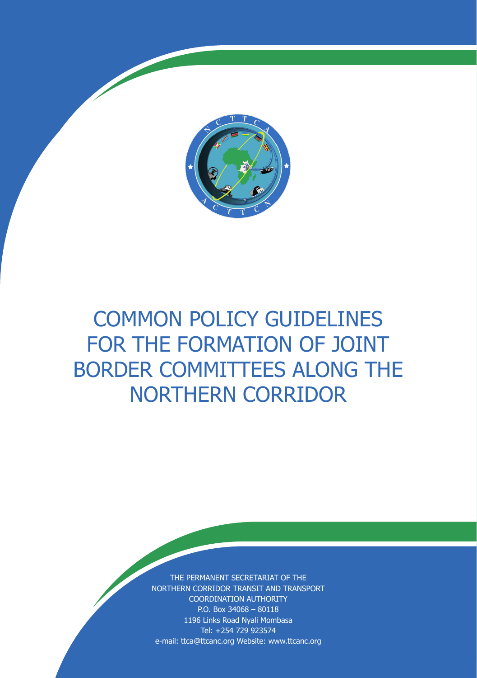

# COMMON POLICY GUIDELINES FOR THE FORMATION OF JOINT BORDER COMMITTEES ALONG THE NORTHERN CORRIDOR

THE PERMANENT SECRETARIAT OF THE NORTHERN CORRIDOR TRANSIT AND TRANSPORT COORDINATION AUTHORITY P.O. Box 34068 – 80118 1196 Links Road Nyali Mombasa Tel: +254 729 923574 e-mail: ttca@ttcanc.org Website: www.ttcanc.org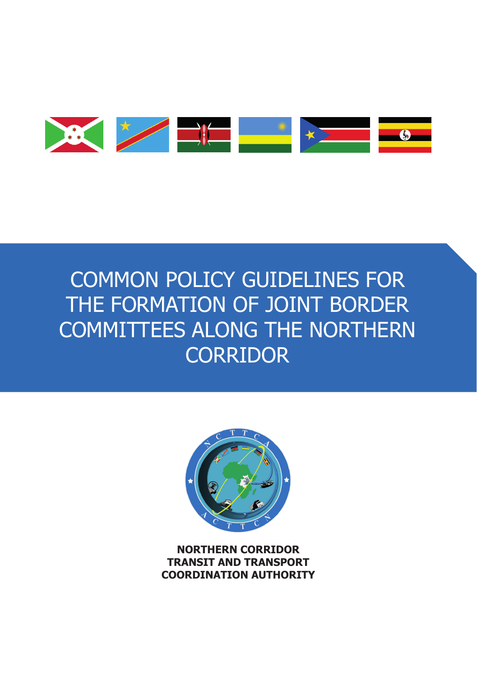

# COMMON POLICY GUIDELINES FOR THE FORMATION OF JOINT BORDER COMMITTEES ALONG THE NORTHERN **CORRIDOR**



**NORTHERN CORRIDOR TRANSIT AND TRANSPORT COORDINATION AUTHORITY**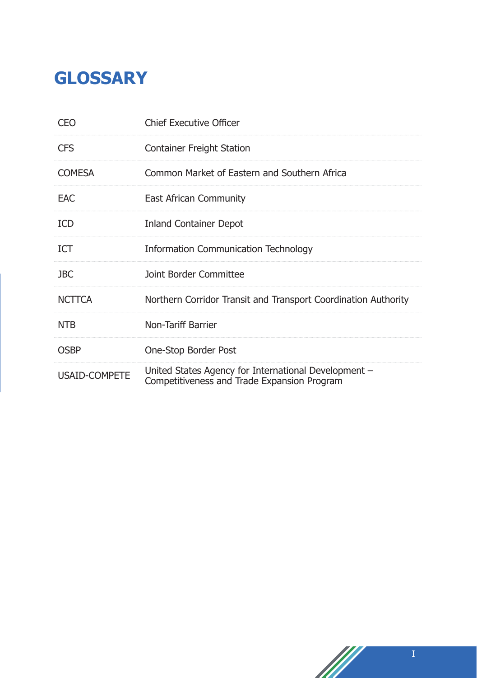## **GLOSSARY**

| CEO           | <b>Chief Executive Officer</b>                                                                      |
|---------------|-----------------------------------------------------------------------------------------------------|
| <b>CFS</b>    | <b>Container Freight Station</b>                                                                    |
| <b>COMESA</b> | Common Market of Eastern and Southern Africa                                                        |
| <b>EAC</b>    | East African Community                                                                              |
| <b>ICD</b>    | <b>Inland Container Depot</b>                                                                       |
| <b>ICT</b>    | <b>Information Communication Technology</b>                                                         |
| <b>JBC</b>    | Joint Border Committee                                                                              |
| <b>NCTTCA</b> | Northern Corridor Transit and Transport Coordination Authority                                      |
| <b>NTB</b>    | Non-Tariff Barrier                                                                                  |
| <b>OSBP</b>   | One-Stop Border Post                                                                                |
| USAID-COMPETE | United States Agency for International Development -<br>Competitiveness and Trade Expansion Program |

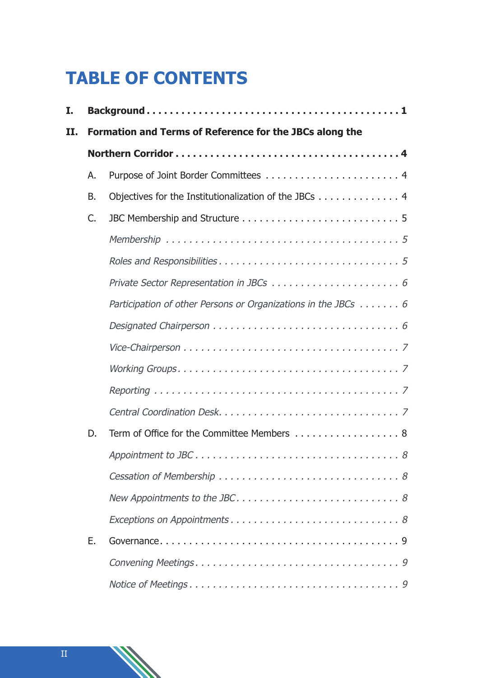## **TABLE OF CONTENTS**

| I.  |                                                         |                                                               |  |
|-----|---------------------------------------------------------|---------------------------------------------------------------|--|
| II. | Formation and Terms of Reference for the JBCs along the |                                                               |  |
|     |                                                         |                                                               |  |
|     | А.                                                      |                                                               |  |
|     | В.                                                      | Objectives for the Institutionalization of the JBCs 4         |  |
|     | C.                                                      |                                                               |  |
|     |                                                         |                                                               |  |
|     |                                                         |                                                               |  |
|     |                                                         |                                                               |  |
|     |                                                         | Participation of other Persons or Organizations in the JBCs 6 |  |
|     |                                                         |                                                               |  |
|     |                                                         |                                                               |  |
|     |                                                         |                                                               |  |
|     |                                                         |                                                               |  |
|     |                                                         |                                                               |  |
|     | D.                                                      | Term of Office for the Committee Members 8                    |  |
|     |                                                         |                                                               |  |
|     |                                                         |                                                               |  |
|     |                                                         |                                                               |  |
|     |                                                         |                                                               |  |
|     | Ε.                                                      |                                                               |  |
|     |                                                         |                                                               |  |
|     |                                                         |                                                               |  |

II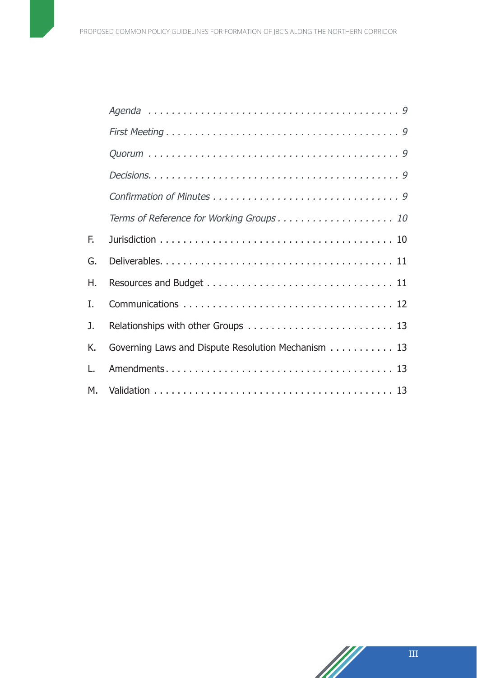|    | Terms of Reference for Working Groups 10           |
|----|----------------------------------------------------|
| F. |                                                    |
| G. |                                                    |
| Η. |                                                    |
| I. |                                                    |
| J. |                                                    |
| K. | Governing Laws and Dispute Resolution Mechanism 13 |
| L. |                                                    |
| М. |                                                    |



M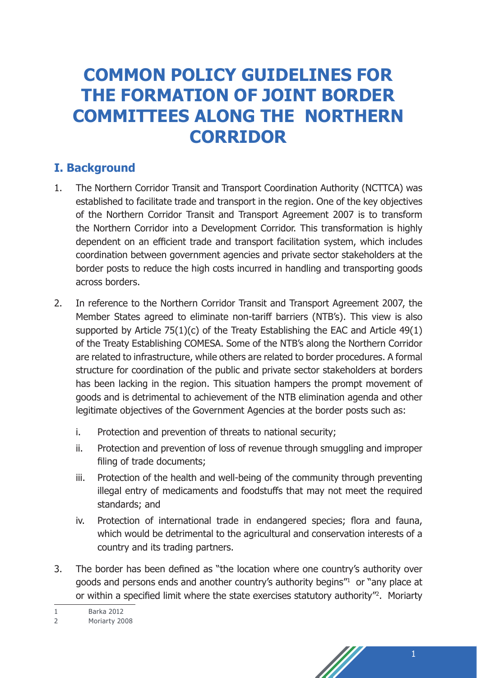### **COMMON POLICY GUIDELINES FOR THE FORMATION OF JOINT BORDER COMMITTEES ALONG THE NORTHERN CORRIDOR**

### **I. Background**

- 1. The Northern Corridor Transit and Transport Coordination Authority (NCTTCA) was established to facilitate trade and transport in the region. One of the key objectives of the Northern Corridor Transit and Transport Agreement 2007 is to transform the Northern Corridor into a Development Corridor. This transformation is highly dependent on an efficient trade and transport facilitation system, which includes coordination between government agencies and private sector stakeholders at the border posts to reduce the high costs incurred in handling and transporting goods across borders.
- 2. In reference to the Northern Corridor Transit and Transport Agreement 2007, the Member States agreed to eliminate non-tariff barriers (NTB's). This view is also supported by Article  $75(1)(c)$  of the Treaty Establishing the EAC and Article  $49(1)$ of the Treaty Establishing COMESA. Some of the NTB's along the Northern Corridor are related to infrastructure, while others are related to border procedures. A formal structure for coordination of the public and private sector stakeholders at borders has been lacking in the region. This situation hampers the prompt movement of goods and is detrimental to achievement of the NTB elimination agenda and other legitimate objectives of the Government Agencies at the border posts such as:
	- i. Protection and prevention of threats to national security;
	- ii. Protection and prevention of loss of revenue through smuggling and improper filing of trade documents;
	- iii. Protection of the health and well-being of the community through preventing illegal entry of medicaments and foodstuffs that may not meet the required standards; and
	- iv. Protection of international trade in endangered species; flora and fauna, which would be detrimental to the agricultural and conservation interests of a country and its trading partners.
- 3. The border has been defined as "the location where one country's authority over goods and persons ends and another country's authority begins"<sup>1</sup> or "any place at or within a specified limit where the state exercises statutory authority"<sup>2</sup> . Moriarty
- 1 Barka 2012



<sup>2</sup> Moriarty 2008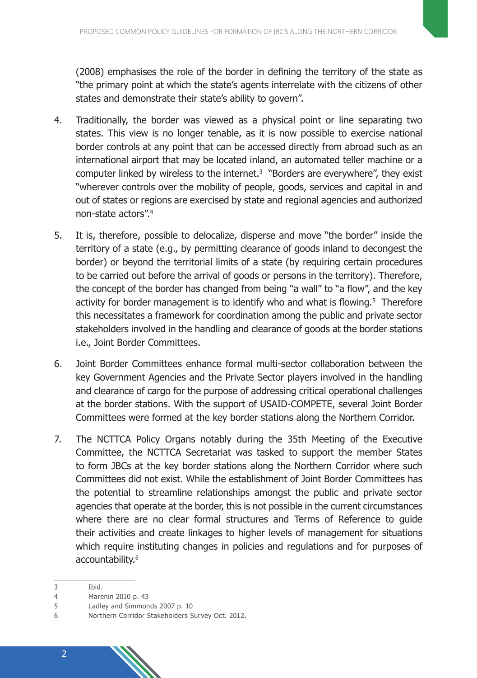(2008) emphasises the role of the border in defining the territory of the state as "the primary point at which the state's agents interrelate with the citizens of other states and demonstrate their state's ability to govern".

- 4. Traditionally, the border was viewed as a physical point or line separating two states. This view is no longer tenable, as it is now possible to exercise national border controls at any point that can be accessed directly from abroad such as an international airport that may be located inland, an automated teller machine or a computer linked by wireless to the internet.3 "Borders are everywhere", they exist "wherever controls over the mobility of people, goods, services and capital in and out of states or regions are exercised by state and regional agencies and authorized non-state actors".<sup>4</sup>
- 5. It is, therefore, possible to delocalize, disperse and move "the border" inside the territory of a state (e.g., by permitting clearance of goods inland to decongest the border) or beyond the territorial limits of a state (by requiring certain procedures to be carried out before the arrival of goods or persons in the territory). Therefore, the concept of the border has changed from being "a wall" to "a flow", and the key activity for border management is to identify who and what is flowing.<sup>5</sup> Therefore this necessitates a framework for coordination among the public and private sector stakeholders involved in the handling and clearance of goods at the border stations i.e., Joint Border Committees.
- 6. Joint Border Committees enhance formal multi-sector collaboration between the key Government Agencies and the Private Sector players involved in the handling and clearance of cargo for the purpose of addressing critical operational challenges at the border stations. With the support of USAID-COMPETE, several Joint Border Committees were formed at the key border stations along the Northern Corridor.
- 7. The NCTTCA Policy Organs notably during the 35th Meeting of the Executive Committee, the NCTTCA Secretariat was tasked to support the member States to form JBCs at the key border stations along the Northern Corridor where such Committees did not exist. While the establishment of Joint Border Committees has the potential to streamline relationships amongst the public and private sector agencies that operate at the border, this is not possible in the current circumstances where there are no clear formal structures and Terms of Reference to guide their activities and create linkages to higher levels of management for situations which require instituting changes in policies and regulations and for purposes of accountability.<sup>6</sup>

4 Marenin 2010 p. 43

<sup>3</sup> Ibid.

<sup>5</sup> Ladley and Simmonds 2007 p. 10

<sup>6</sup> Northern Corridor Stakeholders Survey Oct. 2012.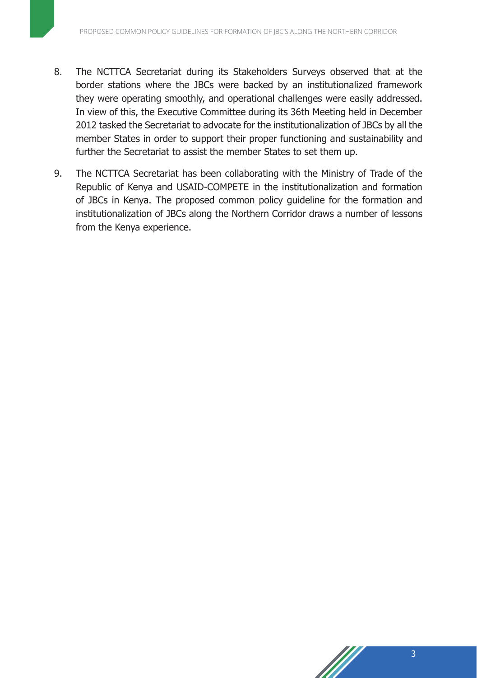- 8. The NCTTCA Secretariat during its Stakeholders Surveys observed that at the border stations where the JBCs were backed by an institutionalized framework they were operating smoothly, and operational challenges were easily addressed. In view of this, the Executive Committee during its 36th Meeting held in December 2012 tasked the Secretariat to advocate for the institutionalization of JBCs by all the member States in order to support their proper functioning and sustainability and further the Secretariat to assist the member States to set them up.
- 9. The NCTTCA Secretariat has been collaborating with the Ministry of Trade of the Republic of Kenya and USAID-COMPETE in the institutionalization and formation of JBCs in Kenya. The proposed common policy guideline for the formation and institutionalization of JBCs along the Northern Corridor draws a number of lessons from the Kenya experience.

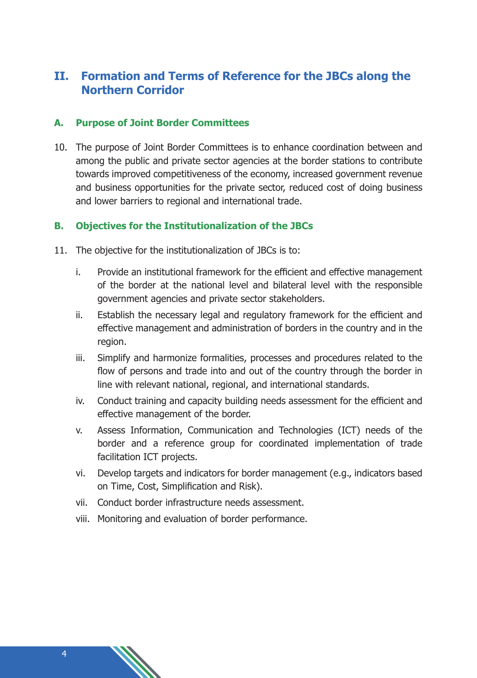### **II. Formation and Terms of Reference for the JBCs along the Northern Corridor**

#### **A. Purpose of Joint Border Committees**

10. The purpose of Joint Border Committees is to enhance coordination between and among the public and private sector agencies at the border stations to contribute towards improved competitiveness of the economy, increased government revenue and business opportunities for the private sector, reduced cost of doing business and lower barriers to regional and international trade.

#### **B. Objectives for the Institutionalization of the JBCs**

- 11. The objective for the institutionalization of JBCs is to:
	- i. Provide an institutional framework for the efficient and effective management of the border at the national level and bilateral level with the responsible government agencies and private sector stakeholders.
	- ii. Establish the necessary legal and regulatory framework for the efficient and effective management and administration of borders in the country and in the region.
	- iii. Simplify and harmonize formalities, processes and procedures related to the flow of persons and trade into and out of the country through the border in line with relevant national, regional, and international standards.
	- iv. Conduct training and capacity building needs assessment for the efficient and effective management of the border.
	- v. Assess Information, Communication and Technologies (ICT) needs of the border and a reference group for coordinated implementation of trade facilitation ICT projects.
	- vi. Develop targets and indicators for border management (e.g., indicators based on Time, Cost, Simplification and Risk).
	- vii. Conduct border infrastructure needs assessment.
	- viii. Monitoring and evaluation of border performance.

4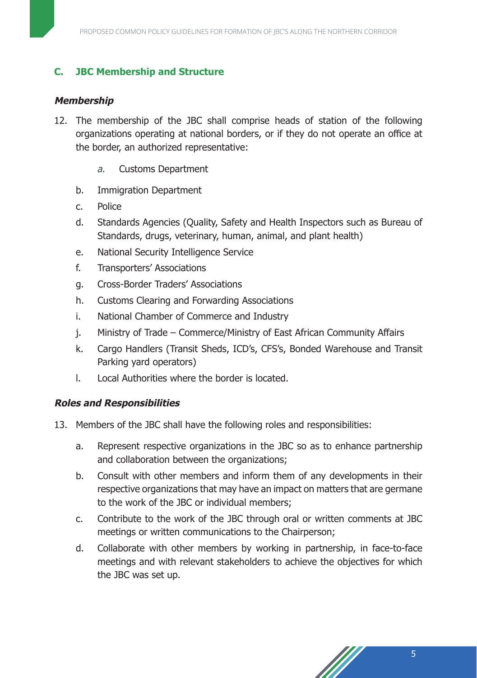#### **C. JBC Membership and Structure**

#### **Membership**

- 12. The membership of the JBC shall comprise heads of station of the following organizations operating at national borders, or if they do not operate an office at the border, an authorized representative:
	- a. Customs Department
	- b. Immigration Department
	- c. Police
	- d. Standards Agencies (Quality, Safety and Health Inspectors such as Bureau of Standards, drugs, veterinary, human, animal, and plant health)
	- e. National Security Intelligence Service
	- f. Transporters' Associations
	- g. Cross-Border Traders' Associations
	- h. Customs Clearing and Forwarding Associations
	- i. National Chamber of Commerce and Industry
	- j. Ministry of Trade Commerce/Ministry of East African Community Affairs
	- k. Cargo Handlers (Transit Sheds, ICD's, CFS's, Bonded Warehouse and Transit Parking yard operators)
	- l. Local Authorities where the border is located.

#### **Roles and Responsibilities**

- 13. Members of the JBC shall have the following roles and responsibilities:
	- a. Represent respective organizations in the JBC so as to enhance partnership and collaboration between the organizations;
	- b. Consult with other members and inform them of any developments in their respective organizations that may have an impact on matters that are germane to the work of the JBC or individual members;
	- c. Contribute to the work of the JBC through oral or written comments at JBC meetings or written communications to the Chairperson;
	- d. Collaborate with other members by working in partnership, in face-to-face meetings and with relevant stakeholders to achieve the objectives for which the JBC was set up.

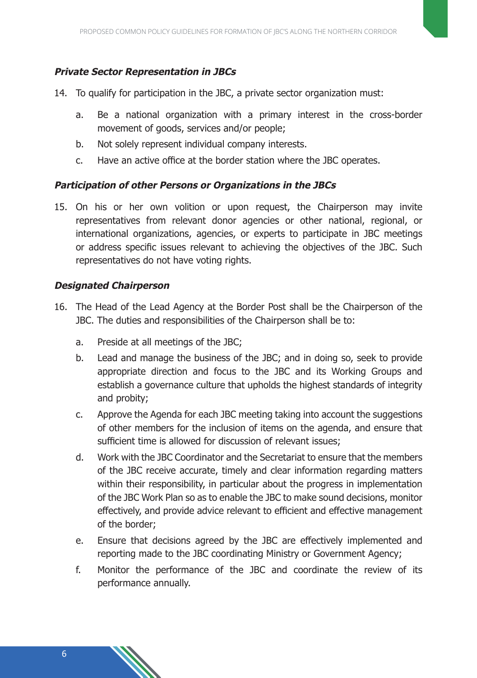#### **Private Sector Representation in JBCs**

- 14. To qualify for participation in the JBC, a private sector organization must:
	- a. Be a national organization with a primary interest in the cross-border movement of goods, services and/or people;
	- b. Not solely represent individual company interests.
	- c. Have an active office at the border station where the JBC operates.

#### **Participation of other Persons or Organizations in the JBCs**

15. On his or her own volition or upon request, the Chairperson may invite representatives from relevant donor agencies or other national, regional, or international organizations, agencies, or experts to participate in JBC meetings or address specific issues relevant to achieving the objectives of the JBC. Such representatives do not have voting rights.

#### **Designated Chairperson**

- 16. The Head of the Lead Agency at the Border Post shall be the Chairperson of the JBC. The duties and responsibilities of the Chairperson shall be to:
	- a. Preside at all meetings of the JBC;
	- b. Lead and manage the business of the JBC; and in doing so, seek to provide appropriate direction and focus to the JBC and its Working Groups and establish a governance culture that upholds the highest standards of integrity and probity;
	- c. Approve the Agenda for each JBC meeting taking into account the suggestions of other members for the inclusion of items on the agenda, and ensure that sufficient time is allowed for discussion of relevant issues;
	- d. Work with the JBC Coordinator and the Secretariat to ensure that the members of the JBC receive accurate, timely and clear information regarding matters within their responsibility, in particular about the progress in implementation of the JBC Work Plan so as to enable the JBC to make sound decisions, monitor effectively, and provide advice relevant to efficient and effective management of the border;
	- e. Ensure that decisions agreed by the JBC are effectively implemented and reporting made to the JBC coordinating Ministry or Government Agency;
	- f. Monitor the performance of the JBC and coordinate the review of its performance annually.

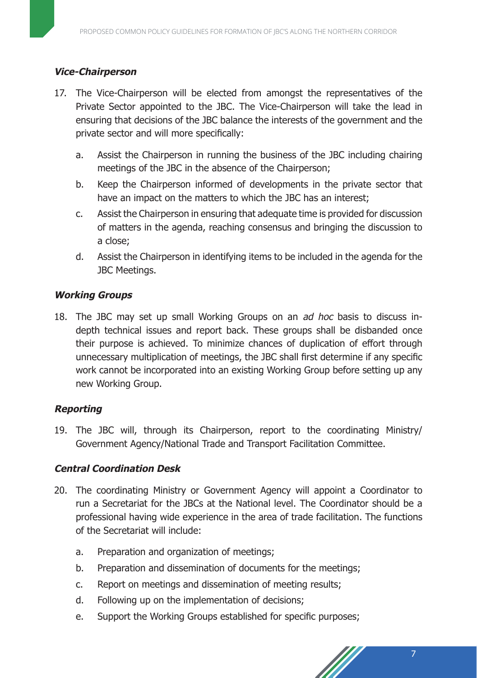#### **Vice-Chairperson**

- 17. The Vice-Chairperson will be elected from amongst the representatives of the Private Sector appointed to the JBC. The Vice-Chairperson will take the lead in ensuring that decisions of the JBC balance the interests of the government and the private sector and will more specifically:
	- a. Assist the Chairperson in running the business of the JBC including chairing meetings of the JBC in the absence of the Chairperson;
	- b. Keep the Chairperson informed of developments in the private sector that have an impact on the matters to which the JBC has an interest;
	- c. Assist the Chairperson in ensuring that adequate time is provided for discussion of matters in the agenda, reaching consensus and bringing the discussion to a close;
	- d. Assist the Chairperson in identifying items to be included in the agenda for the JBC Meetings.

#### **Working Groups**

18. The JBC may set up small Working Groups on an *ad hoc* basis to discuss indepth technical issues and report back. These groups shall be disbanded once their purpose is achieved. To minimize chances of duplication of effort through unnecessary multiplication of meetings, the JBC shall first determine if any specific work cannot be incorporated into an existing Working Group before setting up any new Working Group.

#### **Reporting**

19. The JBC will, through its Chairperson, report to the coordinating Ministry/ Government Agency/National Trade and Transport Facilitation Committee.

#### **Central Coordination Desk**

- 20. The coordinating Ministry or Government Agency will appoint a Coordinator to run a Secretariat for the JBCs at the National level. The Coordinator should be a professional having wide experience in the area of trade facilitation. The functions of the Secretariat will include:
	- a. Preparation and organization of meetings;
	- b. Preparation and dissemination of documents for the meetings;
	- c. Report on meetings and dissemination of meeting results;
	- d. Following up on the implementation of decisions;
	- e. Support the Working Groups established for specific purposes;

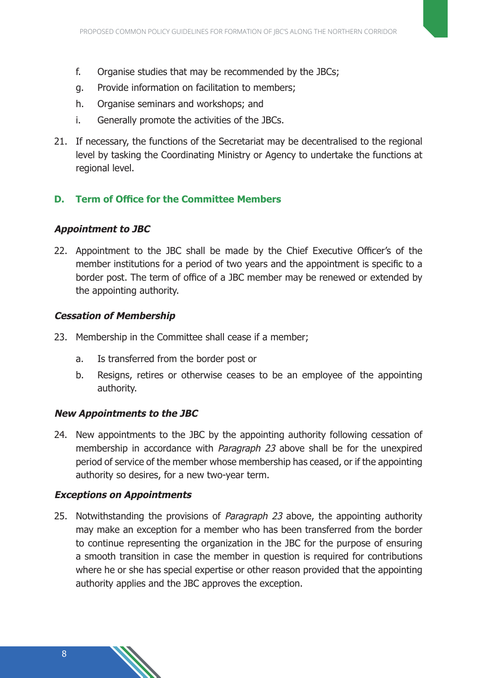- f. Organise studies that may be recommended by the JBCs;
- g. Provide information on facilitation to members;
- h. Organise seminars and workshops; and
- i. Generally promote the activities of the JBCs.
- 21. If necessary, the functions of the Secretariat may be decentralised to the regional level by tasking the Coordinating Ministry or Agency to undertake the functions at regional level.

#### **D. Term of Office for the Committee Members**

#### **Appointment to JBC**

22. Appointment to the JBC shall be made by the Chief Executive Officer's of the member institutions for a period of two years and the appointment is specific to a border post. The term of office of a JBC member may be renewed or extended by the appointing authority.

#### **Cessation of Membership**

- 23. Membership in the Committee shall cease if a member;
	- a. Is transferred from the border post or
	- b. Resigns, retires or otherwise ceases to be an employee of the appointing authority.

#### **New Appointments to the JBC**

24. New appointments to the JBC by the appointing authority following cessation of membership in accordance with *Paragraph 23* above shall be for the unexpired period of service of the member whose membership has ceased, or if the appointing authority so desires, for a new two-year term.

#### **Exceptions on Appointments**

25. Notwithstanding the provisions of Paragraph 23 above, the appointing authority may make an exception for a member who has been transferred from the border to continue representing the organization in the JBC for the purpose of ensuring a smooth transition in case the member in question is required for contributions where he or she has special expertise or other reason provided that the appointing authority applies and the JBC approves the exception.

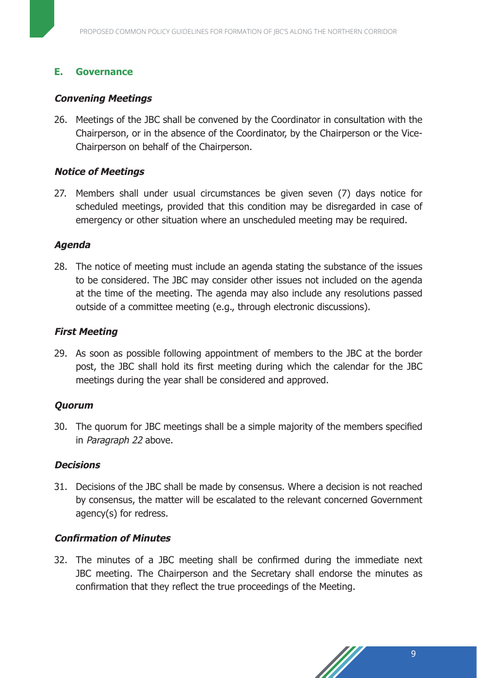#### **E. Governance**

#### **Convening Meetings**

26. Meetings of the JBC shall be convened by the Coordinator in consultation with the Chairperson, or in the absence of the Coordinator, by the Chairperson or the Vice-Chairperson on behalf of the Chairperson.

#### **Notice of Meetings**

27. Members shall under usual circumstances be given seven (7) days notice for scheduled meetings, provided that this condition may be disregarded in case of emergency or other situation where an unscheduled meeting may be required.

#### **Agenda**

28. The notice of meeting must include an agenda stating the substance of the issues to be considered. The JBC may consider other issues not included on the agenda at the time of the meeting. The agenda may also include any resolutions passed outside of a committee meeting (e.g., through electronic discussions).

#### **First Meeting**

29. As soon as possible following appointment of members to the JBC at the border post, the JBC shall hold its first meeting during which the calendar for the JBC meetings during the year shall be considered and approved.

#### **Quorum**

30. The quorum for JBC meetings shall be a simple majority of the members specified in Paragraph 22 above.

#### **Decisions**

31. Decisions of the JBC shall be made by consensus. Where a decision is not reached by consensus, the matter will be escalated to the relevant concerned Government agency(s) for redress.

#### **Confirmation of Minutes**

32. The minutes of a JBC meeting shall be confirmed during the immediate next JBC meeting. The Chairperson and the Secretary shall endorse the minutes as confirmation that they reflect the true proceedings of the Meeting.

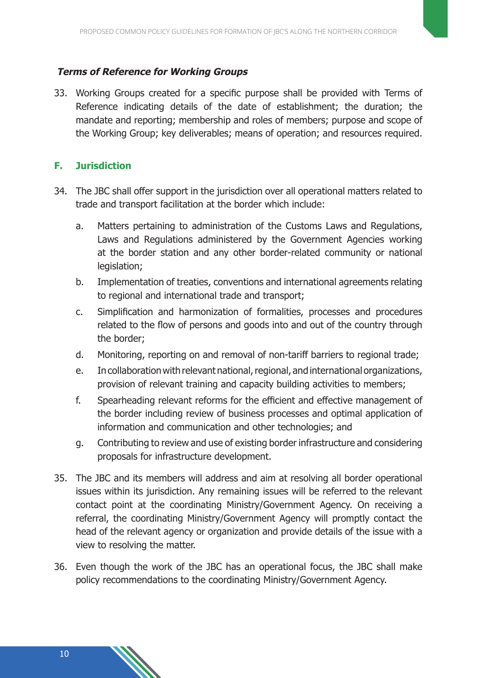#### **Terms of Reference for Working Groups**

33. Working Groups created for a specific purpose shall be provided with Terms of Reference indicating details of the date of establishment; the duration; the mandate and reporting; membership and roles of members; purpose and scope of the Working Group; key deliverables; means of operation; and resources required.

#### **F. Jurisdiction**

- 34. The JBC shall offer support in the jurisdiction over all operational matters related to trade and transport facilitation at the border which include:
	- a. Matters pertaining to administration of the Customs Laws and Regulations, Laws and Regulations administered by the Government Agencies working at the border station and any other border-related community or national legislation;
	- b. Implementation of treaties, conventions and international agreements relating to regional and international trade and transport;
	- c. Simplification and harmonization of formalities, processes and procedures related to the flow of persons and goods into and out of the country through the border;
	- d. Monitoring, reporting on and removal of non-tariff barriers to regional trade;
	- e. In collaboration with relevant national, regional, and international organizations, provision of relevant training and capacity building activities to members;
	- f. Spearheading relevant reforms for the efficient and effective management of the border including review of business processes and optimal application of information and communication and other technologies; and
	- g. Contributing to review and use of existing border infrastructure and considering proposals for infrastructure development.
- 35. The JBC and its members will address and aim at resolving all border operational issues within its jurisdiction. Any remaining issues will be referred to the relevant contact point at the coordinating Ministry/Government Agency. On receiving a referral, the coordinating Ministry/Government Agency will promptly contact the head of the relevant agency or organization and provide details of the issue with a view to resolving the matter.
- 36. Even though the work of the JBC has an operational focus, the JBC shall make policy recommendations to the coordinating Ministry/Government Agency.

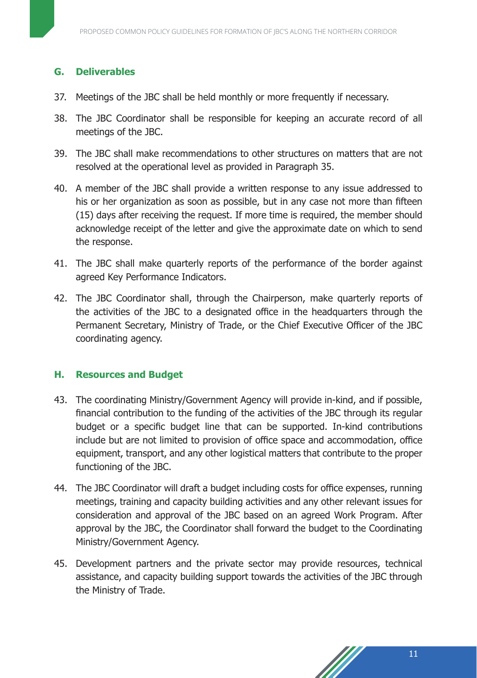#### **G. Deliverables**

- 37. Meetings of the JBC shall be held monthly or more frequently if necessary.
- 38. The JBC Coordinator shall be responsible for keeping an accurate record of all meetings of the JBC.
- 39. The JBC shall make recommendations to other structures on matters that are not resolved at the operational level as provided in Paragraph 35.
- 40. A member of the JBC shall provide a written response to any issue addressed to his or her organization as soon as possible, but in any case not more than fifteen (15) days after receiving the request. If more time is required, the member should acknowledge receipt of the letter and give the approximate date on which to send the response.
- 41. The JBC shall make quarterly reports of the performance of the border against agreed Key Performance Indicators.
- 42. The JBC Coordinator shall, through the Chairperson, make quarterly reports of the activities of the JBC to a designated office in the headquarters through the Permanent Secretary, Ministry of Trade, or the Chief Executive Officer of the JBC coordinating agency.

#### **H. Resources and Budget**

- 43. The coordinating Ministry/Government Agency will provide in-kind, and if possible, financial contribution to the funding of the activities of the JBC through its regular budget or a specific budget line that can be supported. In-kind contributions include but are not limited to provision of office space and accommodation, office equipment, transport, and any other logistical matters that contribute to the proper functioning of the JBC.
- 44. The JBC Coordinator will draft a budget including costs for office expenses, running meetings, training and capacity building activities and any other relevant issues for consideration and approval of the JBC based on an agreed Work Program. After approval by the JBC, the Coordinator shall forward the budget to the Coordinating Ministry/Government Agency.
- 45. Development partners and the private sector may provide resources, technical assistance, and capacity building support towards the activities of the JBC through the Ministry of Trade.

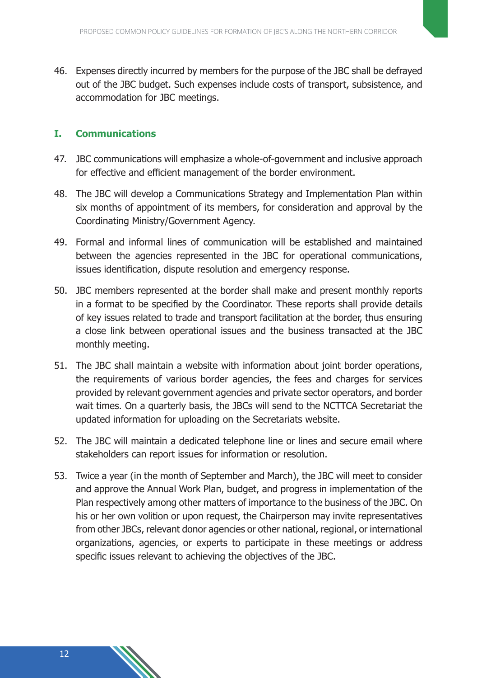46. Expenses directly incurred by members for the purpose of the JBC shall be defrayed out of the JBC budget. Such expenses include costs of transport, subsistence, and accommodation for JBC meetings.

#### **I. Communications**

- 47. JBC communications will emphasize a whole-of-government and inclusive approach for effective and efficient management of the border environment.
- 48. The JBC will develop a Communications Strategy and Implementation Plan within six months of appointment of its members, for consideration and approval by the Coordinating Ministry/Government Agency.
- 49. Formal and informal lines of communication will be established and maintained between the agencies represented in the JBC for operational communications, issues identification, dispute resolution and emergency response.
- 50. JBC members represented at the border shall make and present monthly reports in a format to be specified by the Coordinator. These reports shall provide details of key issues related to trade and transport facilitation at the border, thus ensuring a close link between operational issues and the business transacted at the JBC monthly meeting.
- 51. The JBC shall maintain a website with information about joint border operations, the requirements of various border agencies, the fees and charges for services provided by relevant government agencies and private sector operators, and border wait times. On a quarterly basis, the JBCs will send to the NCTTCA Secretariat the updated information for uploading on the Secretariats website.
- 52. The JBC will maintain a dedicated telephone line or lines and secure email where stakeholders can report issues for information or resolution.
- 53. Twice a year (in the month of September and March), the JBC will meet to consider and approve the Annual Work Plan, budget, and progress in implementation of the Plan respectively among other matters of importance to the business of the JBC. On his or her own volition or upon request, the Chairperson may invite representatives from other JBCs, relevant donor agencies or other national, regional, or international organizations, agencies, or experts to participate in these meetings or address specific issues relevant to achieving the objectives of the JBC.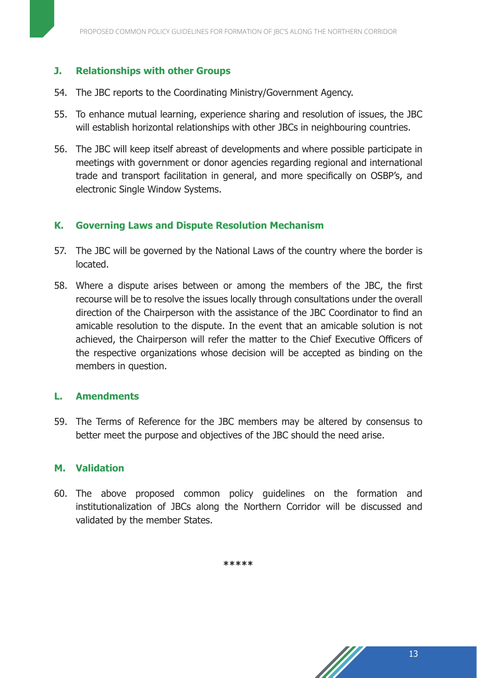#### **J. Relationships with other Groups**

- 54. The JBC reports to the Coordinating Ministry/Government Agency.
- 55. To enhance mutual learning, experience sharing and resolution of issues, the JBC will establish horizontal relationships with other JBCs in neighbouring countries.
- 56. The JBC will keep itself abreast of developments and where possible participate in meetings with government or donor agencies regarding regional and international trade and transport facilitation in general, and more specifically on OSBP's, and electronic Single Window Systems.

#### **K. Governing Laws and Dispute Resolution Mechanism**

- 57. The JBC will be governed by the National Laws of the country where the border is located.
- 58. Where a dispute arises between or among the members of the JBC, the first recourse will be to resolve the issues locally through consultations under the overall direction of the Chairperson with the assistance of the JBC Coordinator to find an amicable resolution to the dispute. In the event that an amicable solution is not achieved, the Chairperson will refer the matter to the Chief Executive Officers of the respective organizations whose decision will be accepted as binding on the members in question.

#### **L. Amendments**

59. The Terms of Reference for the JBC members may be altered by consensus to better meet the purpose and objectives of the JBC should the need arise.

#### **M. Validation**

60. The above proposed common policy guidelines on the formation and institutionalization of JBCs along the Northern Corridor will be discussed and validated by the member States.

**\*\*\*\*\***